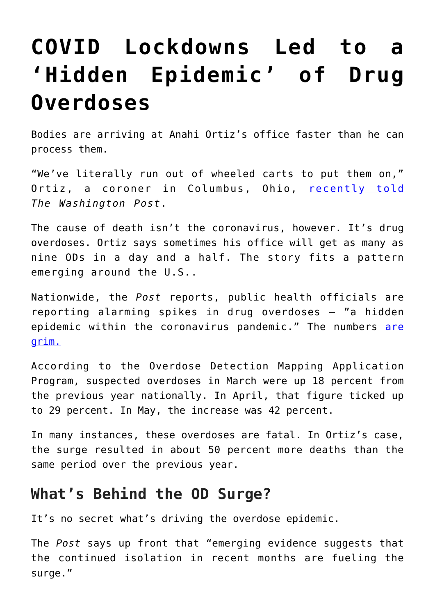## **[COVID Lockdowns Led to a](https://intellectualtakeout.org/2020/07/covid-lockdowns-led-to-a-hidden-epidemic-of-drug-overdoses/) ['Hidden Epidemic' of Drug](https://intellectualtakeout.org/2020/07/covid-lockdowns-led-to-a-hidden-epidemic-of-drug-overdoses/) [Overdoses](https://intellectualtakeout.org/2020/07/covid-lockdowns-led-to-a-hidden-epidemic-of-drug-overdoses/)**

Bodies are arriving at Anahi Ortiz's office faster than he can process them.

"We've literally run out of wheeled carts to put them on," Ortiz, a coroner in Columbus, Ohio, [recently told](https://www.washingtonpost.com/health/2020/07/01/coronavirus-drug-overdose/) *The Washington Post*.

The cause of death isn't the coronavirus, however. It's drug overdoses. Ortiz says sometimes his office will get as many as nine ODs in a day and a half. The story fits a pattern emerging around the U.S..

Nationwide, the *Post* reports, public health officials are reporting alarming spikes in drug overdoses – "a hidden epidemic within the coronavirus pandemic." The numbers [are](http://www.odmap.org/Content/docs/news/2020/ODMAP-Report-May-2020.pdf) [grim.](http://www.odmap.org/Content/docs/news/2020/ODMAP-Report-May-2020.pdf)

According to the Overdose Detection Mapping Application Program, suspected overdoses in March were up 18 percent from the previous year nationally. In April, that figure ticked up to 29 percent. In May, the increase was 42 percent.

In many instances, these overdoses are fatal. In Ortiz's case, the surge resulted in about 50 percent more deaths than the same period over the previous year.

## **What's Behind the OD Surge?**

It's no secret what's driving the overdose epidemic.

The *Post* says up front that "emerging evidence suggests that the continued isolation in recent months are fueling the surge."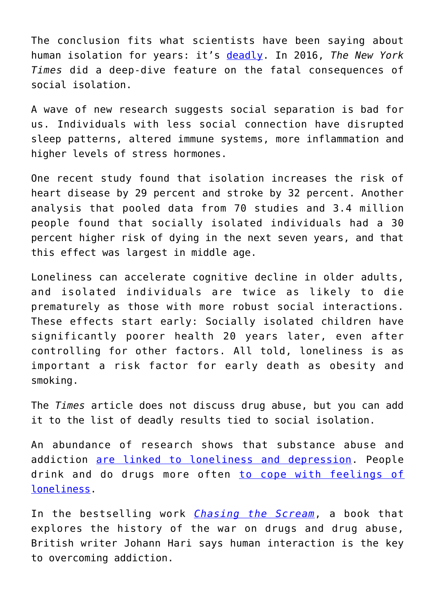The conclusion fits what scientists have been saying about human isolation for years: it's [deadly.](https://www.nytimes.com/2016/12/22/upshot/how-social-isolation-is-killing-us.html) In 2016, *The New York Times* did a deep-dive feature on the fatal consequences of social isolation.

A wave of new research suggests social separation is bad for us. Individuals with less social connection have disrupted sleep patterns, altered immune systems, more inflammation and higher levels of stress hormones.

One recent study found that isolation increases the risk of heart disease by 29 percent and stroke by 32 percent. Another analysis that pooled data from 70 studies and 3.4 million people found that socially isolated individuals had a 30 percent higher risk of dying in the next seven years, and that this effect was largest in middle age.

Loneliness can accelerate cognitive decline in older adults, and isolated individuals are twice as likely to die prematurely as those with more robust social interactions. These effects start early: Socially isolated children have significantly poorer health 20 years later, even after controlling for other factors. All told, loneliness is as important a risk factor for early death as obesity and smoking.

The *Times* article does not discuss drug abuse, but you can add it to the list of deadly results tied to social isolation.

An abundance of research shows that substance abuse and addiction [are linked to loneliness and depression.](https://www.huffpost.com/entry/the-road-to-addiction---1_b_232674) People drink and do drugs more often [to cope with feelings of](https://www.vice.com/en_uk/article/pkeqvk/young-people-loneliness-drugs-alcohol) [loneliness.](https://www.vice.com/en_uk/article/pkeqvk/young-people-loneliness-drugs-alcohol)

In the bestselling work *[Chasing the Scream](https://www.amazon.com/gp/product/1620408910/ref=as_li_tl?ie=UTF8&camp=1789&creative=9325&creativeASIN=1620408910&linkCode=as2&tag=intelltakeo0d-20&linkId=3f258a49ac1cab8e4793ae11873174be)*, a book that explores the history of the war on drugs and drug abuse, British writer Johann Hari says human interaction is the key to overcoming addiction.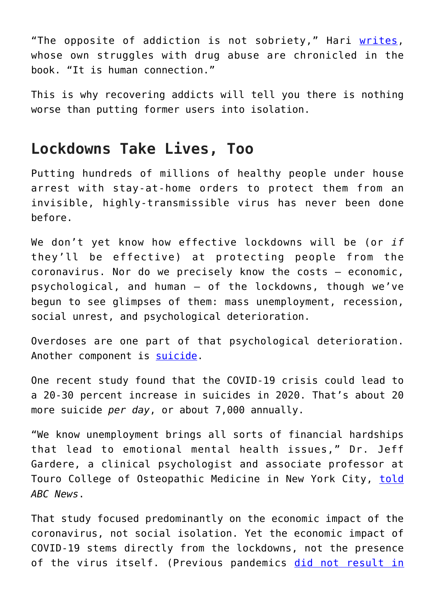"The opposite of addiction is not sobriety," Hari [writes,](https://www.intellectualtakeout.org/article/addiction-are-we-all-wrong-about-its-causes/) whose own struggles with drug abuse are chronicled in the book. "It is human connection."

This is why recovering addicts will tell you there is nothing worse than putting former users into isolation.

## **Lockdowns Take Lives, Too**

Putting hundreds of millions of healthy people under house arrest with stay-at-home orders to protect them from an invisible, highly-transmissible virus has never been done before.

We don't yet know how effective lockdowns will be (or *if* they'll be effective) at protecting people from the coronavirus. Nor do we precisely know the costs – economic, psychological, and human – of the lockdowns, though we've begun to see glimpses of them: mass unemployment, recession, social unrest, and psychological deterioration.

Overdoses are one part of that psychological deterioration. Another component is [suicide](https://fee.org/articles/a-years-worth-of-suicide-attempts-in-four-weeks-the-unintended-consequences-of-covid-19-lockdowns/).

One recent study found that the COVID-19 crisis could lead to a 20-30 percent increase in suicides in 2020. That's about 20 more suicide *per day*, or about 7,000 annually.

"We know unemployment brings all sorts of financial hardships that lead to emotional mental health issues," Dr. Jeff Gardere, a clinical psychologist and associate professor at Touro College of Osteopathic Medicine in New York City, [told](https://abcnews.go.com/Health/unemployment-isolation-covid-19s-mental-health-impact/story?id=69939700) *ABC News*.

That study focused predominantly on the economic impact of the coronavirus, not social isolation. Yet the economic impact of COVID-19 stems directly from the lockdowns, not the presence of the virus itself. (Previous pandemics [did not result in](https://mises.org/wire/why-didnt-1958-and-1918-pandemics-destroy-economy-hint-its-lockdowns)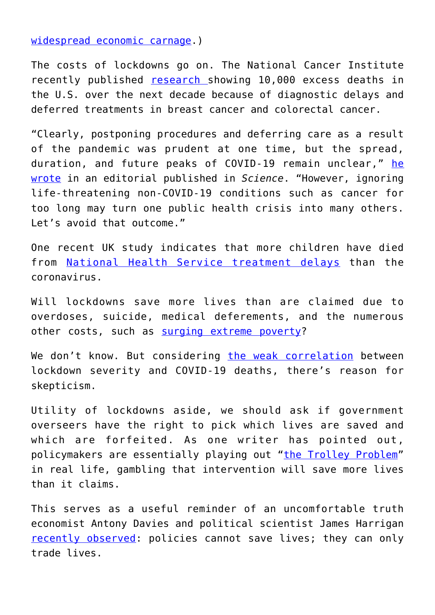[widespread economic carnage.](https://mises.org/wire/why-didnt-1958-and-1918-pandemics-destroy-economy-hint-its-lockdowns))

The costs of lockdowns go on. The National Cancer Institute recently published [research](https://www.medscape.com/viewarticle/932858) showing 10,000 excess deaths in the U.S. over the next decade because of diagnostic delays and deferred treatments in breast cancer and colorectal cancer.

"Clearly, postponing procedures and deferring care as a result of the pandemic was prudent at one time, but the spread, duration, and future peaks of COVID-19 remain unclear," [he](https://www.statnews.com/2020/06/19/ignoring-cancer-care-covid-19-nci-sharpless/) [wrote](https://www.statnews.com/2020/06/19/ignoring-cancer-care-covid-19-nci-sharpless/) in an editorial published in *Science*. "However, ignoring life-threatening non-COVID-19 conditions such as cancer for too long may turn one public health crisis into many others. Let's avoid that outcome."

One recent UK study indicates that more children have died from **[National Health Service treatment delays](https://www.telegraph.co.uk/news/2020/06/25/nhs-treatment-delays-linked-child-deaths-coronavirus/)** than the coronavirus.

Will lockdowns save more lives than are claimed due to overdoses, suicide, medical deferements, and the numerous other costs, such as [surging extreme poverty](https://fee.org/articles/covid-crisis-could-push-100-million-people-into-extreme-poverty-new-world-bank-study-says/)?

We don't know. But considering [the weak correlation](https://www.bloomberg.com/graphics/2020-opinion-coronavirus-europe-lockdown-excess-deaths-recession/) between lockdown severity and COVID-19 deaths, there's reason for skepticism.

Utility of lockdowns aside, we should ask if government overseers have the right to pick which lives are saved and which are forfeited. As one writer has pointed out, policymakers are essentially playing out ["the Trolley Problem"](https://fee.org/articles/covid-19-and-the-trolley-problem-you-re-on-the-tracks-and-the-government-is-controlling-the-switch/) in real life, gambling that intervention will save more lives than it claims.

This serves as a useful reminder of an uncomfortable truth economist Antony Davies and political scientist James Harrigan [recently observed](https://fee.org/articles/no-policy-can-save-lives-it-can-only-trade-lives/): policies cannot save lives; they can only trade lives.